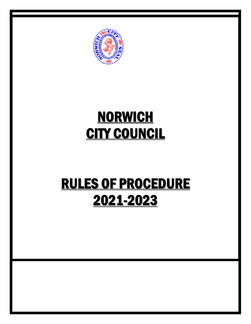

# **NORWICH CITY COUNCIL**

# **RULES OF PROCEDURE** 2021-2023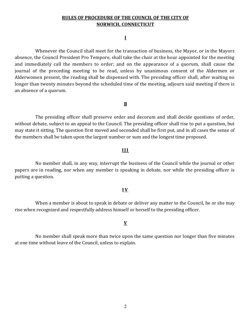#### **I**

Whenever the Council shall meet for the transaction of business, the Mayor, or in the Mayors absence, the Council President Pro Tempore, shall take the chair at the hour appointed for the meeting and immediately call the members to order; and on the appearance of a quorum, shall cause the journal of the preceding meeting to be read, unless by unanimous consent of the Aldermen or Alderwomen present, the reading shall be dispensed with. The presiding officer shall, after waiting no longer than twenty minutes beyond the scheduled time of the meeting, adjourn said meeting if there is an absence of a quorum.

#### **II**

The presiding officer shall preserve order and decorum and shall decide questions of order, without debate, subject to an appeal to the Council. The presiding officer shall rise to put a question, but may state it sitting. The question first moved and seconded shall be first put, and in all cases the sense of the members shall be taken upon the largest number or sum and the longest time proposed.

#### **III**

No member shall, in any way, interrupt the business of the Council while the journal or other papers are in reading, nor when any member is speaking in debate, nor while the presiding officer is putting a question.

## **I V**

When a member is about to speak in debate or deliver any matter to the Council, he or she may rise when recognized and respectfully address himself or herself to the presiding officer.

## **V**

No member shall speak more than twice upon the same question nor longer than five minutes at one time without leave of the Council, unless to explain.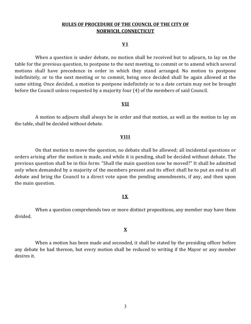#### **V I**

When a question is under debate, no motion shall be received but to adjourn, to lay on the table for the previous question, to postpone to the next meeting, to commit or to amend which several motions shall have precedence in order in which they stand arranged. No motion to postpone indefinitely, or to the next meeting or to commit, being once decided shall be again allowed at the same sitting. Once decided, a motion to postpone indefinitely or to a date certain may not be brought before the Council unless requested by a majority four (4) of the members of said Council.

#### **VII**

A motion to adjourn shall always be in order and that motion, as well as the motion to lay on the table, shall be decided without debate.

#### **VIII**

On that motion to move the question, no debate shall be allowed; all incidental questions or orders arising after the motion is made, and while it is pending, shall be decided without debate. The previous question shall be in this form: "Shall the main question now be moved?" It shall be admitted only when demanded by a majority of the members present and its effect shall be to put an end to all debate and bring the Council to a direct vote upon the pending amendments, if any, and then upon the main question.

#### **I X**

When a question comprehends two or more distinct propositions, any member may have them divided.

## **X**

When a motion has been made and seconded, it shall be stated by the presiding officer before any debate be had thereon, but every motion shall be reduced to writing if the Mayor or any member desires it.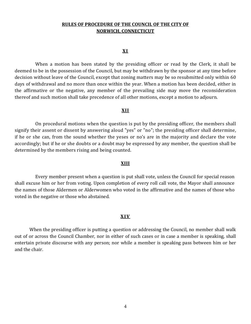#### **X I**

When a motion has been stated by the presiding officer or read by the Clerk, it shall be deemed to be in the possession of the Council, but may be withdrawn by the sponsor at any time before decision without leave of the Council, except that zoning matters may be so resubmitted only within 60 days of withdrawal and no more than once within the year. When a motion has been decided, either in the affirmative or the negative, any member of the prevailing side may move the reconsideration thereof and such motion shall take precedence of all other motions, except a motion to adjourn.

#### **XII**

On procedural motions when the question is put by the presiding officer, the members shall signify their assent or dissent by answering aloud "yes" or "no"; the presiding officer shall determine, if he or she can, from the sound whether the yeses or no's are in the majority and declare the vote accordingly; but if he or she doubts or a doubt may be expressed by any member, the question shall be determined by the members rising and being counted.

#### **XIII**

Every member present when a question is put shall vote, unless the Council for special reason shall excuse him or her from voting. Upon completion of every roll call vote, the Mayor shall announce the names of those Aldermen or Alderwomen who voted in the affirmative and the names of those who voted in the negative or those who abstained.

#### **XIV**

When the presiding officer is putting a question or addressing the Council, no member shall walk out of or across the Council Chamber, nor in either of such cases or in case a member is speaking, shall entertain private discourse with any person; nor while a member is speaking pass between him or her and the chair.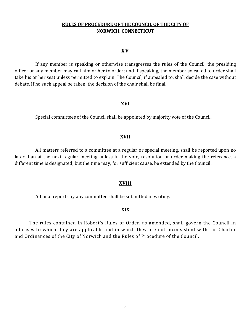#### **X V**

If any member is speaking or otherwise transgresses the rules of the Council, the presiding officer or any member may call him or her to order; and if speaking, the member so called to order shall take his or her seat unless permitted to explain. The Council, if appealed to, shall decide the case without debate. If no such appeal be taken, the decision of the chair shall be final.

#### **XVI**

Special committees of the Council shall be appointed by majority vote of the Council.

#### **XVII**

All matters referred to a committee at a regular or special meeting, shall be reported upon no later than at the next regular meeting unless in the vote, resolution or order making the reference, a different time is designated; but the time may, for sufficient cause, be extended by the Council.

#### **XVIII**

All final reports by any committee shall be submitted in writing.

### **XIX**

The rules contained in Robert's Rules of Order, as amended, shall govern the Council in all cases to which they are applicable and in which they are not inconsistent with the Charter and Ordinances of the City of Norwich and the Rules of Procedure of the Council.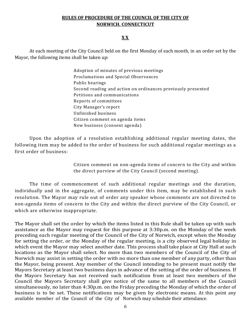## **X X**

At each meeting of the City Council held on the first Monday of each month, in an order set by the Mayor, the following items shall be taken up:

> Adoption of minutes of previous meetings Proclamations and Special Observances Public hearings Second reading and action on ordinances previously presented Petitions and communications Reports of committees City Manager's report Unfinished business Citizen comment on agenda items New business (consent agenda)

Upon the adoption of a resolution establishing additional regular meeting dates, the following item may be added to the order of business for such additional regular meetings as a first order of business:

> Citizen comment on non-agenda items of concern to the City and within the direct purview of the City Council (second meeting).

 The time of commencement of such additional regular meetings and the duration, individually and in the aggregate, of comments under this item, may be established in such resolution. The Mayor may rule out of order any speaker whose comments are not directed to non-agenda items of concern to the City and within the direct purview of the City Council, or which are otherwise inappropriate.

The Mayor shall set the order by which the items listed in this Rule shall be taken up with such assistance as the Mayor may request for this purpose at 3:30p.m. on the Monday of the week preceding each regular meeting of the Council of the City of Norwich, except when the Monday for setting the order, or the Monday of the regular meeting, is a city observed legal holiday in which event the Mayor may select another date. This process shall take place at City Hall at such locations as the Mayor shall select. No more than two members of the Council of the City of Norwich may assist in setting the order with no more than one member of any party, other than the Mayor, being present. Any member of the Council intending to be present must notify the Mayors Secretary at least two business days in advance of the setting of the order of business. If the Mayors Secretary has not received such notification from at least two members of the Council the Mayors Secretary shall give notice of the same to all members of the Council simultaneously, no later than 4:30p.m. on the Friday preceding the Monday of which the order of business is to be set. These notifications may be given by electronic means. At this point any available member of the Council of the City of Norwich may schedule their attendance.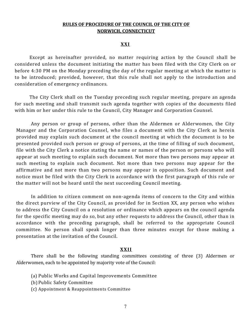#### **XXI**

Except as hereinafter provided, no matter requiring action by the Council shall be considered unless the document initiating the matter has been filed with the City Clerk on or before 4:30 PM on the Monday preceding the day of the regular meeting at which the matter is to be introduced; provided, however, that this rule shall not apply to the introduction and consideration of emergency ordinances.

The City Clerk shall on the Tuesday preceding such regular meeting, prepare an agenda for such meeting and shall transmit such agenda together with copies of the documents filed with him or her under this rule to the Council, City Manager and Corporation Counsel.

Any person or group of persons, other than the Aldermen or Alderwomen, the City Manager and the Corporation Counsel, who files a document with the City Clerk as herein provided may explain such document at the council meeting at which the document is to be presented provided such person or group of persons, at the time of filling of such document, file with the City Clerk a notice stating the name or names of the person or persons who will appear at such meeting to explain such document. Not more than two persons may appear at such meeting to explain such document. Not more than two persons may appear for the affirmative and not more than two persons may appear in opposition. Such document and notice must be filed with the City Clerk in accordance with the first paragraph of this rule or the matter will not be heard until the next succeeding Council meeting.

In addition to citizen comment on non-agenda items of concern to the City and within the direct purview of the City Council, as provided for in Section XX, any person who wishes to address the City Council on a resolution or ordinance which appears on the council agenda for the specific meeting may do so, but any other requests to address the Council, other than in accordance with the preceding paragraph, shall be referred to the appropriate Council committee. No person shall speak longer than three minutes except for those making a presentation at the invitation of the Council.

#### **XXII**

There shall be the following standing committees consisting of three (3) Aldermen or Alderwomen, each to be appointed by majority vote of the Council:

- (a) Public Works and Capital Improvements Committee
- (b) Public Safety Committee
- (c) Appointment & Reappointments Committee